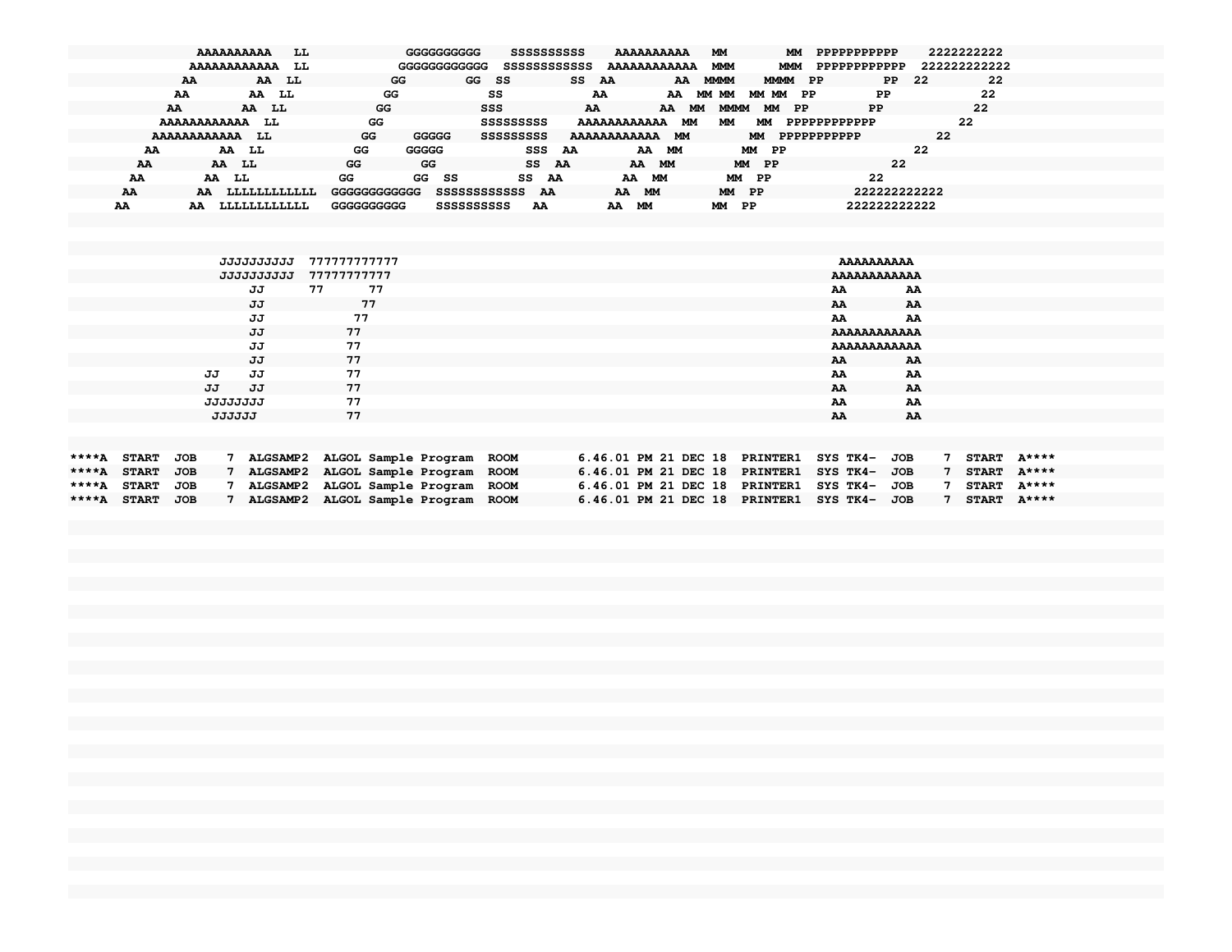|    | <b>AAAAAAAAAA</b><br>LL |              | GGGGGGGGGG<br>SSSSSSSSSS     | AAAAAAAAAA               | МM<br>MМ               | PPPPPPPPPPP       | 2222222222   |
|----|-------------------------|--------------|------------------------------|--------------------------|------------------------|-------------------|--------------|
|    | AAAAAAAAAAAA<br>LL      |              | SSSSSSSSSSSS<br>GGGGGGGGGGGG | AAAAAAAAAAAA             | MMM<br>MMM             | PPPPPPPPPPPP      | 222222222222 |
|    | AA LL<br>AA             | GG           | GG<br>- SS                   | SS AA<br>AA              | MMMM PP<br><b>MMMM</b> | -22<br>PP.        | 22           |
| AA | AA LL                   | GG           | SS                           | AA<br>AA                 | MM MM<br>MM MM<br>- PP | PP.               | 22           |
| AA | AA LL                   | GG           | SSS                          | AA<br>AA<br>MМ           | MMMM<br>PP.<br>MМ      | PP                | 22           |
|    | AAAAAAAAAAAA<br>LL      | GG           | SSSSSSSSS                    | <b>AAAAAAAAAAA</b><br>МM | МM<br>МM               | PPPPPPPPPPPP      | 22           |
|    | AAAAAAAAAAAA<br>LL      | GG<br>GGGGG  | SSSSSSSSS                    | AAAAAAAAAAAA MM          | MM                     | 22<br>PPPPPPPPPPP |              |
| AA | AA LL                   | GGGGG<br>GG  | SSS                          | AA<br>МM<br>AA           | MM PP                  | 22                |              |
| AA | AA LL                   | GG<br>GG     | SS AA                        | AA MM                    | MM PP                  | 22                |              |
| AA | AA LL                   | GG           | GG SS<br>SS AA               | AA MM                    | MM PP                  | 22                |              |
| AA | LLLLLLLLLLL<br>AA       | GGGGGGGGGGGG | SSSSSSSSSSSSS AA             | AA MM                    | MM PP                  | 222222222222      |              |
| AA | LLLLLLLLLLL<br>AA       | GGGGGGGGGG   | <b>SSSSSSSSSSS</b><br>AA     | МM<br>AA                 | MM PP                  | 222222222222      |              |
|    |                         |              |                              |                          |                        |                   |              |

|             | <b>JJJJJJJJJJ</b>  | 777777777777                         |                               | <b>AAAAAAAAAA</b>   |    |                 |  |
|-------------|--------------------|--------------------------------------|-------------------------------|---------------------|----|-----------------|--|
|             | <b>JJJJJJJJJJJ</b> | 77777777777                          |                               | AAAAAAAAAAAA        |    |                 |  |
|             | JJ                 | 77<br>77                             |                               | AA                  | AA |                 |  |
|             | JJ                 | 77                                   |                               | AA                  | AA |                 |  |
|             | JJ                 | 77                                   |                               | AA                  | AA |                 |  |
|             | JJ                 | 77                                   |                               | AAAAAAAAAAAA        |    |                 |  |
|             | JJ                 | 77                                   |                               | <b>AAAAAAAAAAAA</b> |    |                 |  |
|             | JJ                 | 77                                   |                               | AA                  | AA |                 |  |
|             | JJ<br>JJ           | 77                                   |                               | AA                  | AA |                 |  |
|             | JJ<br>JJ           | 77                                   |                               | AA                  | AA |                 |  |
|             | <b>JJJJJJJJJ</b>   | 77                                   |                               | AA                  | AA |                 |  |
|             | <b>JJJJJJ</b>      | 77                                   |                               | AA                  | AA |                 |  |
|             |                    |                                      |                               |                     |    |                 |  |
|             |                    |                                      |                               |                     |    |                 |  |
| <b>++++</b> | $cm$ nn<br>TAD     | 7 31CC3MB2 31COI Commis Because BOOM | C AC 01 DM 91 DRC 10 DDTNWRD1 | CVC MVA TOD         |    | $7$ cmaps a++++ |  |

| ****A START JOB |  | ALGSAMP2 ALGOL Sample Program ROOM | $6.46.01$ PM 21 DEC 18 PRINTER1 SYS TK4- JOB |  |  | START $A***$   |  |
|-----------------|--|------------------------------------|----------------------------------------------|--|--|----------------|--|
| ****A START JOB |  | ALGSAMP2 ALGOL Sample Program ROOM | 6.46.01 PM 21 DEC 18 PRINTER1 SYS TK4- JOB   |  |  | START $A***$   |  |
| ****A START JOB |  | ALGSAMP2 ALGOL Sample Program ROOM | 6.46.01 PM 21 DEC 18 PRINTER1 SYS TK4- JOB   |  |  | START $A***$   |  |
| ****A START JOB |  | ALGSAMP2 ALGOL Sample Program ROOM | $6.46.01$ PM 21 DEC 18 PRINTER1 SYS TK4- JOB |  |  | $START$ $A***$ |  |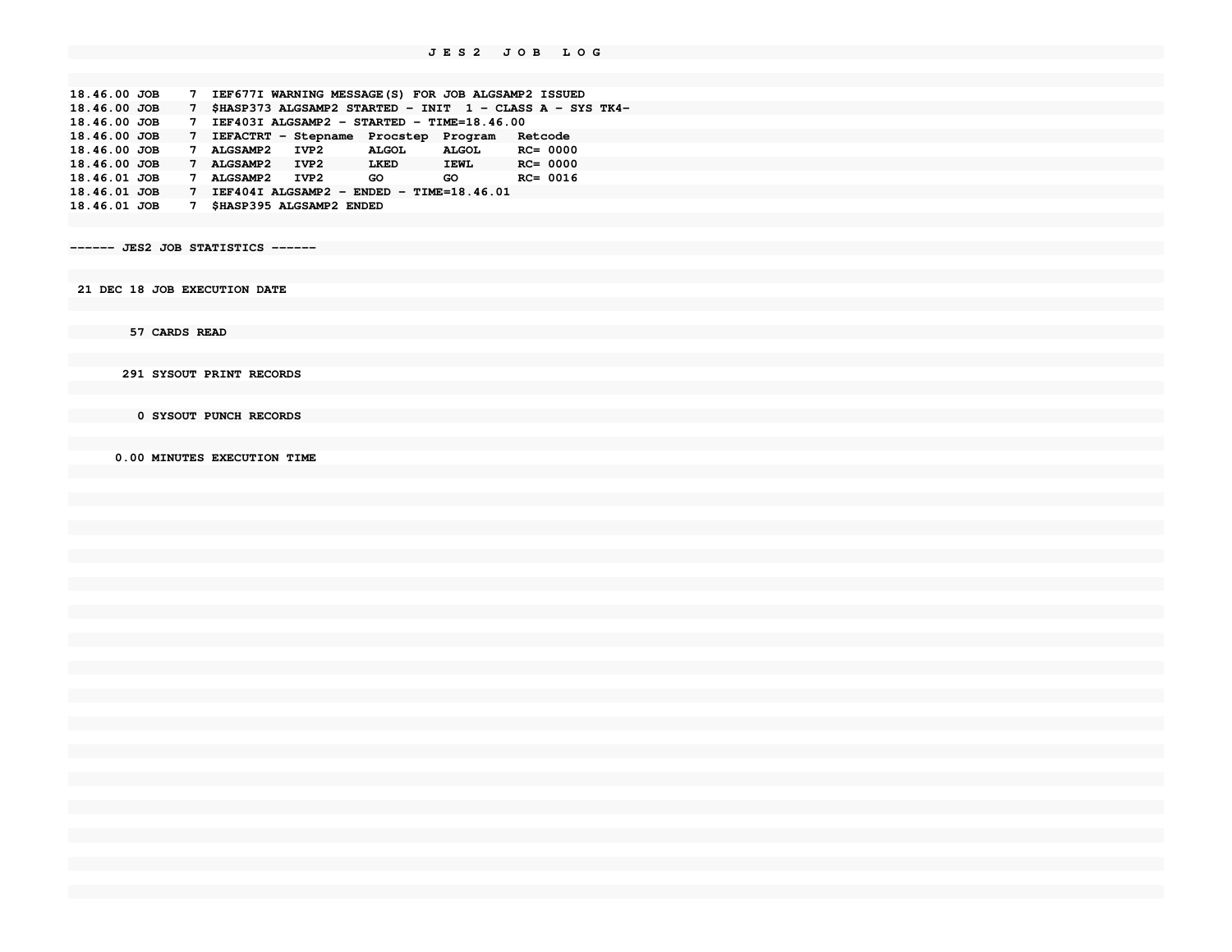**18.46.00 JOB 7 IEF677I WARNING MESSAGE(S) FOR JOB ALGSAMP2 ISSUED 18.46.00 JOB 7 \$HASP373 ALGSAMP2 STARTED - INIT 1 - CLASS A - SYS TK4-18.46.00 JOB 7 IEF403I ALGSAMP2 - STARTED - TIME=18.46.00 18.46.00 JOB 7 IEFACTRT - Stepname Procstep Program Retcode** $RC = 0000$ 18.46.00 JOB 7 ALGSAMP2 IVP2 ALGOL ALGOL **18.46.00 JOB 7 ALGSAMP2 IVP2 LKED IEWL RC= 0000** $RC = 0016$ 18.46.01 JOB 7 ALGSAMP2 IVP2 GO GO **18.46.01 JOB 7 IEF404I ALGSAMP2 - ENDED - TIME=18.46.0118.46.01 JOB 7 \$HASP395 ALGSAMP2 ENDED**

**------ JES2 JOB STATISTICS ------**

 **21 DEC 18 JOB EXECUTION DATE**

 **57 CARDS READ**

 **291 SYSOUT PRINT RECORDS**

 **0 SYSOUT PUNCH RECORDS**

 **0.00 MINUTES EXECUTION TIME**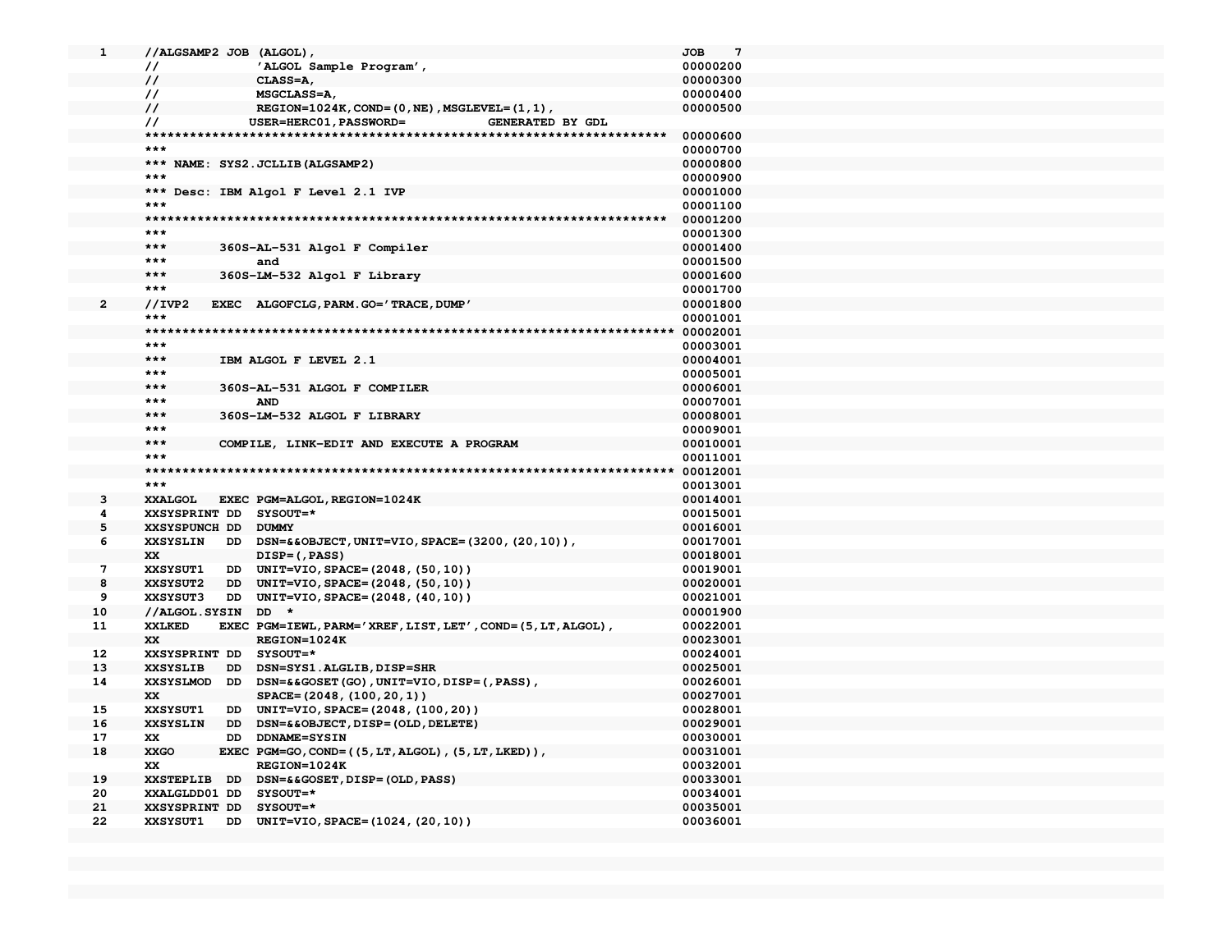| 1            | //ALGSAMP2 JOB (ALGOL),                                                          | $7\phantom{.0}$<br><b>JOB</b> |
|--------------|----------------------------------------------------------------------------------|-------------------------------|
|              | 'ALGOL Sample Program',<br>$\prime\prime$                                        | 00000200                      |
|              | $\prime\prime$<br>CLASS=A,                                                       | 00000300                      |
|              | $\prime\prime$<br>MSGCLASS=A,                                                    | 00000400                      |
|              | $\prime\prime$<br>REGION= $1024K$ , COND= $(0, NE)$ , MSGLEVEL= $(1, 1)$ ,       | 00000500                      |
|              | $\prime\prime$<br><b>USER=HERC01, PASSWORD=</b><br><b>GENERATED BY GDL</b>       |                               |
|              |                                                                                  | 00000600                      |
|              | $***$                                                                            | 00000700                      |
|              | *** NAME: SYS2. JCLLIB (ALGSAMP2)                                                | 00000800                      |
|              | $***$                                                                            | 00000900                      |
|              | *** Desc: IBM Algol F Level 2.1 IVP                                              | 00001000                      |
|              | $***$                                                                            | 00001100                      |
|              |                                                                                  | 00001200                      |
|              | ***                                                                              | 00001300                      |
|              | $***$<br>360S-AL-531 Algol F Compiler                                            | 00001400                      |
|              | $***$<br>and                                                                     | 00001500                      |
|              | $***$<br>360S-LM-532 Algol F Library                                             | 00001600                      |
|              | $***$                                                                            | 00001700                      |
| $\mathbf{2}$ | //IVP2<br>EXEC ALGOFCLG, PARM. GO='TRACE, DUMP'                                  | 00001800                      |
|              | ***                                                                              | 00001001                      |
|              | *******                                                                          | 00002001                      |
|              | $***$                                                                            | 00003001                      |
|              | $***$<br>IBM ALGOL F LEVEL 2.1                                                   | 00004001                      |
|              | $***$                                                                            | 00005001                      |
|              | $***$<br>360S-AL-531 ALGOL F COMPILER                                            | 00006001                      |
|              | $***$<br><b>AND</b>                                                              | 00007001                      |
|              | $***$<br>360S-LM-532 ALGOL F LIBRARY                                             | 00008001                      |
|              | ***                                                                              | 00009001                      |
|              | $***$<br>COMPILE, LINK-EDIT AND EXECUTE A PROGRAM                                | 00010001                      |
|              | $***$                                                                            | 00011001                      |
|              | *****                                                                            | 00012001                      |
|              | $***$                                                                            | 00013001                      |
| 3            | XXALGOL<br>EXEC PGM=ALGOL, REGION=1024K                                          | 00014001                      |
| 4            | XXSYSPRINT DD SYSOUT=*                                                           | 00015001                      |
| 5            | XXSYSPUNCH DD DUMMY                                                              | 00016001                      |
| 6            | <b>XXSYSLIN</b><br>DD DSN=&&OBJECT, UNIT=VIO, SPACE=(3200, (20, 10)),            | 00017001                      |
|              | XX<br>DISP=(, PASS)                                                              | 00018001                      |
| 7            | <b>XXSYSUT1</b><br>DD UNIT=VIO, SPACE=(2048, (50, 10))                           | 00019001                      |
| 8            | <b>XXSYSUT2</b><br>DD UNIT=VIO, SPACE=(2048, (50, 10))                           | 00020001                      |
| 9            | DD UNIT=VIO, SPACE=(2048, (40, 10))<br><b>XXSYSUT3</b>                           | 00021001                      |
| 10           | //ALGOL.SYSIN DD *                                                               | 00001900                      |
| 11           | <b>XXLKED</b><br>EXEC PGM=IEWL, PARM='XREF, LIST, LET', COND=(5, LT, ALGOL),     | 00022001                      |
|              | XX<br>REGION=1024K                                                               | 00023001                      |
| 12           | XXSYSPRINT DD SYSOUT=*                                                           | 00024001                      |
| 13           | <b>XXSYSLIB</b><br>DD DSN=SYS1.ALGLIB, DISP=SHR                                  | 00025001                      |
| 14           | XXSYSLMOD DD DSN=&&GOSET(GO), UNIT=VIO, DISP=(, PASS),                           | 00026001                      |
|              |                                                                                  |                               |
|              | XX<br>SPACE=(2048, (100, 20, 1))                                                 | 00027001                      |
| 15           | <b>XXSYSUT1</b><br>DD UNIT=VIO, SPACE=(2048, (100, 20))                          | 00028001                      |
| 16           | <b>XXSYSLIN</b><br>םם<br>DSN=&&OBJECT, DISP=(OLD, DELETE)                        | 00029001                      |
| 17           | XX<br>DD DDNAME=SYSIN                                                            | 00030001                      |
| 18           | <b>XXGO</b><br>EXEC PGM=GO, COND=((5, LT, ALGOL), (5, LT, LKED)),                | 00031001                      |
|              | XX<br>REGION=1024K                                                               | 00032001                      |
| 19           | XXSTEPLIB DD DSN=&&GOSET, DISP=(OLD, PASS)                                       | 00033001                      |
| 20           | XXALGLDD01 DD SYSOUT=*                                                           | 00034001                      |
| 21<br>22     | XXSYSPRINT DD SYSOUT=*<br><b>XXSYSUT1</b><br>DD UNIT=VIO, SPACE=(1024, (20, 10)) | 00035001<br>00036001          |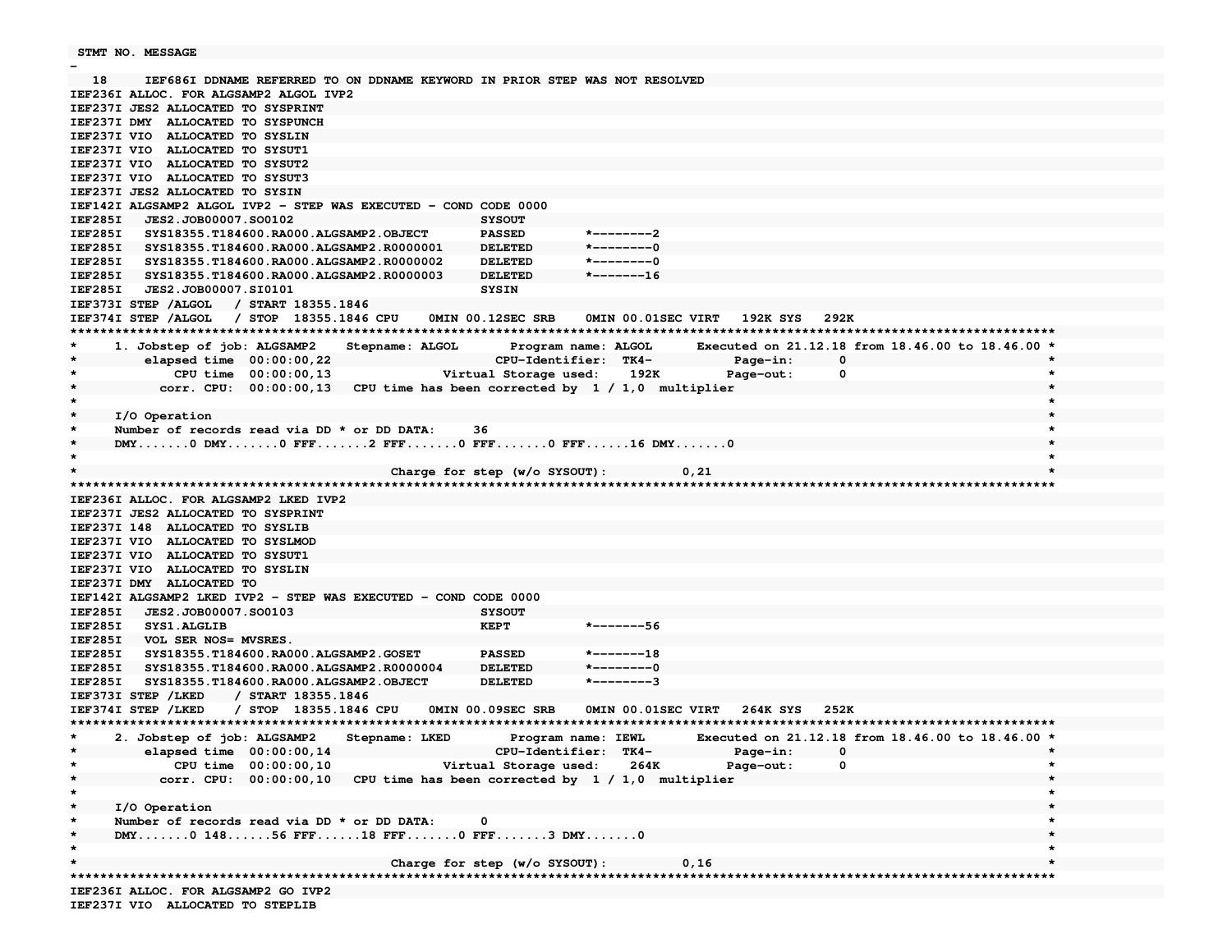```
 STMT NO. MESSAGE
```
**-**

 **18 IEF686I DDNAME REFERRED TO ON DDNAME KEYWORD IN PRIOR STEP WAS NOT RESOLVEDIEF236I ALLOC. FOR ALGSAMP2 ALGOL IVP2IEF237I JES2 ALLOCATED TO SYSPRINT IEF237I DMY ALLOCATED TO SYSPUNCHIEF237I VIO ALLOCATED TO SYSLIN IEF237I VIO ALLOCATED TO SYSUT1 IEF237I VIO ALLOCATED TO SYSUT2 IEF237I VIO ALLOCATED TO SYSUT3 IEF237I JES2 ALLOCATED TO SYSIN IEF142I ALGSAMP2 ALGOL IVP2 - STEP WAS EXECUTED - COND CODE 0000IEF285I JES2.JOB00007.SO0102 SYSOUTPASSED IEF285I SYS18355.T184600.RA000.ALGSAMP2.OBJECT PASSED \*--------2** $*$ --------0 **IEF285I SYS18355.T184600.RA000.ALGSAMP2.R0000001 DELETED**  $*$  - - - - - - - - 0 **IEF285I SYS18355.T184600.RA000.ALGSAMP2.R0000002 DELETED**  $*$ -------16 **IEF285I SYS18355.T184600.RA000.ALGSAMP2.R0000003 DELETED IEF285I JES2.JOB00007.SI0101 SYSINIEF373I STEP /ALGOL / START 18355.1846 IEF374I STEP /ALGOL / STOP 18355.1846 CPU 0MIN 00.12SEC SRB 0MIN 00.01SEC VIRT 192K SYS 292K \*\*\*\*\*\*\*\*\*\*\*\*\*\*\*\*\*\*\*\*\*\*\*\*\*\*\*\*\*\*\*\*\*\*\*\*\*\*\*\*\*\*\*\*\*\*\*\*\*\*\*\*\*\*\*\*\*\*\*\*\*\*\*\*\*\*\*\*\*\*\*\*\*\*\*\*\*\*\*\*\*\*\*\*\*\*\*\*\*\*\*\*\*\*\*\*\*\*\*\*\*\*\*\*\*\*\*\*\*\*\*\*\*\*\*\*\*\*\*\*\*\*\*\*\*\*\*\*\*\*\*\***Executed on 21.12.18 from 18.46.00 to 18.46.00 \* 1. Jobstep of job: ALGSAMP2 Stepname: ALGOL Program name: ALGOL **\* elapsed time 00:00:00,22 CPU-Identifier: TK4- Page-in: 0 \*\* CPU time 00:00:00,13 Virtual Storage used: 192K Page-out: 0 \*\* corr. CPU: 00:00:00,13 CPU time has been corrected by 1 / 1,0 multiplier \*\* \*\* I/O Operation \***Number of records read via DD \* or DD DATA: 36 DMY.......0 DMY........0 FFF.......2 FFF........0 FFF........0 FFF......16 DMY........0 **\* \*\* Charge for step (w/o SYSOUT): 0,21 \*\*\*\*\*\*\*\*\*\*\*\*\*\*\*\*\*\*\*\*\*\*\*\*\*\*\*\*\*\*\*\*\*\*\*\*\*\*\*\*\*\*\*\*\*\*\*\*\*\*\*\*\*\*\*\*\*\*\*\*\*\*\*\*\*\*\*\*\*\*\*\*\*\*\*\*\*\*\*\*\*\*\*\*\*\*\*\*\*\*\*\*\*\*\*\*\*\*\*\*\*\*\*\*\*\*\*\*\*\*\*\*\*\*\*\*\*\*\*\*\*\*\*\*\*\*\*\*\*\*\*\*\*IEF236I ALLOC. FOR ALGSAMP2 LKED IVP2IEF237I JES2 ALLOCATED TO SYSPRINTIEF237I 148 ALLOCATED TO SYSLIB IEF237I VIO ALLOCATED TO SYSLMOD IEF237I VIO ALLOCATED TO SYSUT1 IEF237I VIO ALLOCATED TO SYSLINIEF237I DMY ALLOCATED TO IEF142I ALGSAMP2 LKED IVP2 - STEP WAS EXECUTED - COND CODE 0000 IEF285I JES2.JOB00007.SO0103 SYSOUTIEF285I SYS1.ALGLIB KEPT \*-------56IEF285I VOL SER NOS= MVSRES. IEF285I SYS18355.T184600.RA000.ALGSAMP2.GOSET PASSED \*-------18** $*$ --------0 **IEF285I SYS18355.T184600.RA000.ALGSAMP2.R0000004 DELETED**  $*$ --------3 **IEF285I SYS18355.T184600.RA000.ALGSAMP2.OBJECT DELETED IEF373I STEP /LKED / START 18355.1846 IEF374I STEP /LKED / STOP 18355.1846 CPU 0MIN 00.09SEC SRB 0MIN 00.01SEC VIRT 264K SYS 252K \*\*\*\*\*\*\*\*\*\*\*\*\*\*\*\*\*\*\*\*\*\*\*\*\*\*\*\*\*\*\*\*\*\*\*\*\*\*\*\*\*\*\*\*\*\*\*\*\*\*\*\*\*\*\*\*\*\*\*\*\*\*\*\*\*\*\*\*\*\*\*\*\*\*\*\*\*\*\*\*\*\*\*\*\*\*\*\*\*\*\*\*\*\*\*\*\*\*\*\*\*\*\*\*\*\*\*\*\*\*\*\*\*\*\*\*\*\*\*\*\*\*\*\*\*\*\*\*\*\*\*\* \* 2. Jobstep of job: ALGSAMP2 Stepname: LKED Program name: IEWL Executed on 21.12.18 from 18.46.00 to 18.46.00 \*\* elapsed time 00:00:00,14 CPU-Identifier: TK4- Page-in: 0 \*\* CPU time 00:00:00,10 Virtual Storage used: 264K Page-out: 0 \*\* corr. CPU: 00:00:00,10 CPU time has been corrected by 1 / 1,0 multiplier \*\* \*\* I/O Operation \***Number of records read via DD \* or DD DATA: 0 DMY.......0 148......56 FFF.......18 FFF........0 FFF........3 DMY........0 **\* \*\* Charge for step (w/o SYSOUT): 0,16 \* \*\*\*\*\*\*\*\*\*\*\*\*\*\*\*\*\*\*\*\*\*\*\*\*\*\*\*\*\*\*\*\*\*\*\*\*\*\*\*\*\*\*\*\*\*\*\*\*\*\*\*\*\*\*\*\*\*\*\*\*\*\*\*\*\*\*\*\*\*\*\*\*\*\*\*\*\*\*\*\*\*\*\*\*\*\*\*\*\*\*\*\*\*\*\*\*\*\*\*\*\*\*\*\*\*\*\*\*\*\*\*\*\*\*\*\*\*\*\*\*\*\*\*\*\*\*\*\*\*\*\*\*IEF236I ALLOC. FOR ALGSAMP2 GO IVP2IEF237I VIO ALLOCATED TO STEPLIB**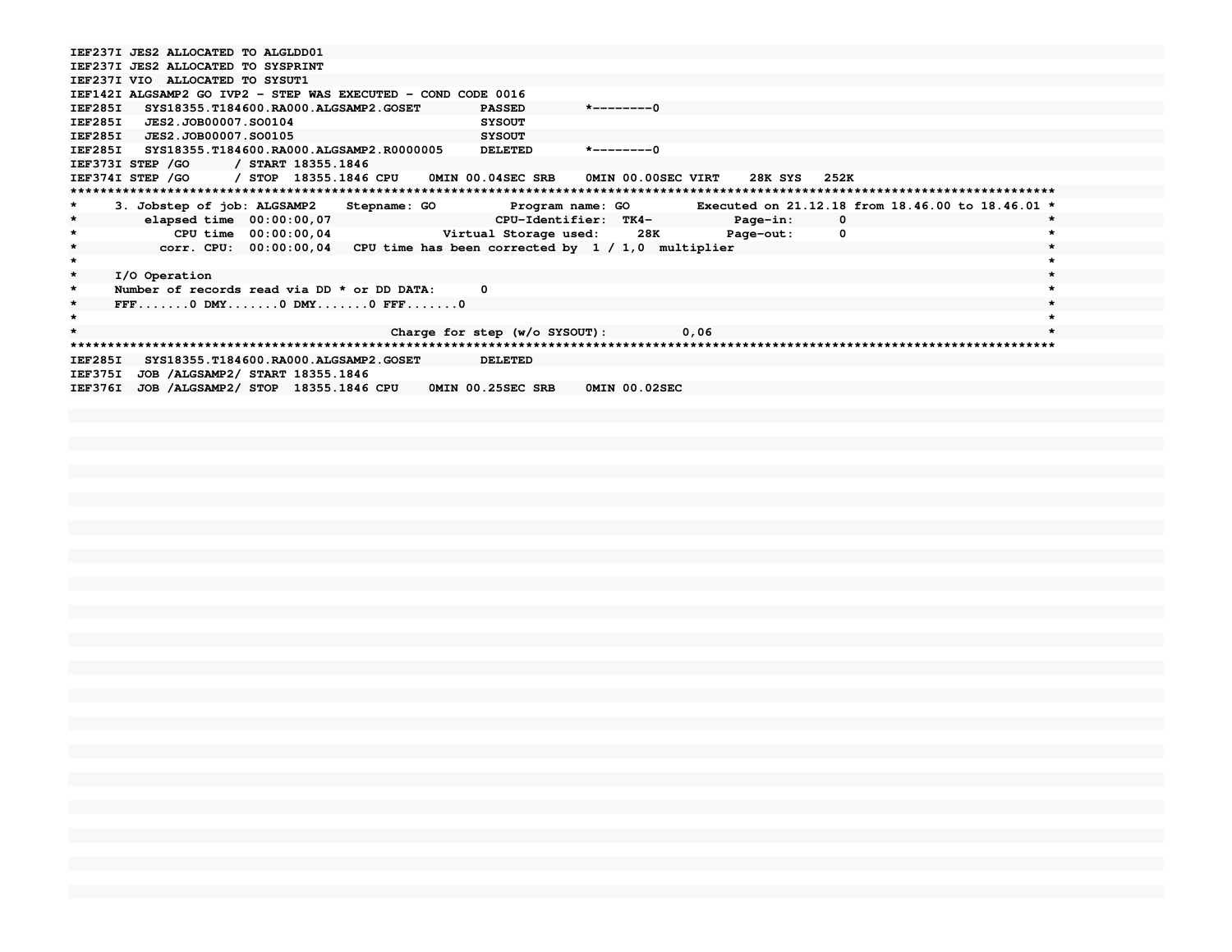```
IEF237I JES2 ALLOCATED TO ALGLDD01
IEF237I JES2 ALLOCATED TO SYSPRINTIEF237I VIO ALLOCATED TO SYSUT1
IEF142I ALGSAMP2 GO IVP2 - STEP WAS EXECUTED - COND CODE 0016
IEF285I SYS18355.T184600.RA000.ALGSAMP2.GOSET PASSED *--------0IEF285I JES2.JOB00007.SO0104 SYSOUTSYSOUT
IEF285I JES2.JOB00007.SO0105

IEF285I SYS18355.T184600.RA000.ALGSAMP2.R0000005 DELETED *--------0IEF373I STEP /GO / START 18355.1846
IEF374I STEP /GO / STOP 18355.1846 CPU 0MIN 00.04SEC SRB 0MIN 00.00SEC VIRT 28K SYS 252K
************************************************************************************************************************************
* 3. Jobstep of job: ALGSAMP2 Stepname: GO Program name: GO Executed on 21.12.18 from 18.46.00 to 18.46.01 *\star* elapsed time 00:00:00,07 CPU-Identifier: TK4- Page-in: 0 *\bullet* CPU time 00:00:00,04 Virtual Storage used: 28K Page-out: 0 *\star* corr. CPU: 00:00:00,04 CPU time has been corrected by 1 / 1,0 multiplier ** *\star* I/O Operation *Number of records read via DD * or DD DATA: 0
                                                                                            \star* FFF.......0 DMY.......0 DMY.......0 FFF.......0 ** *\star* Charge for step (w/o SYSOUT): 0,06 *
************************************************************************************************************************************IEF285I SYS18355.T184600.RA000.ALGSAMP2.GOSET DELETEDIEF375I JOB /ALGSAMP2/ START 18355.1846
IEF376I JOB /ALGSAMP2/ STOP 18355.1846 CPU 0MIN 00.25SEC SRB 0MIN 00.02SEC
```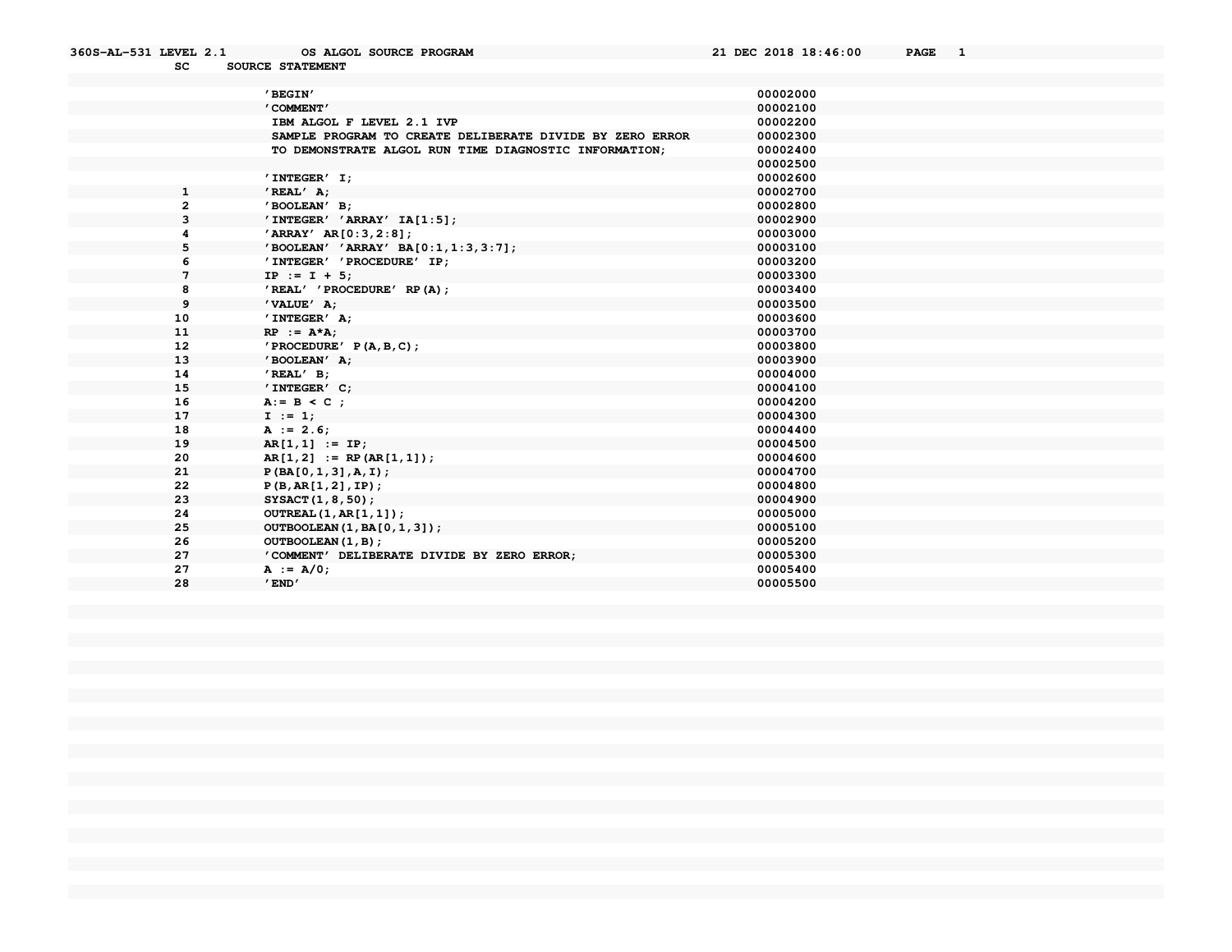| SC           | SOURCE STATEMENT                                         |          |
|--------------|----------------------------------------------------------|----------|
|              |                                                          |          |
|              | 'BEGIN'                                                  | 00002000 |
|              | ' COMMENT'                                               | 00002100 |
|              | IBM ALGOL F LEVEL 2.1 IVP                                | 00002200 |
|              | SAMPLE PROGRAM TO CREATE DELIBERATE DIVIDE BY ZERO ERROR | 00002300 |
|              | TO DEMONSTRATE ALGOL RUN TIME DIAGNOSTIC INFORMATION;    | 00002400 |
|              |                                                          | 00002500 |
|              | $'$ INTEGER $'$ I;                                       | 00002600 |
| $\mathbf{1}$ | $'$ REAL $'$ A;                                          | 00002700 |
| $\mathbf{2}$ | 'BOOLEAN' B;                                             | 00002800 |
| 3            | $'$ INTEGER' $'$ ARRAY' IA[1:5];                         | 00002900 |
|              | 'ARRAY' AR[0:3,2:8];                                     | 00003000 |
| 5            | 'BOOLEAN' 'ARRAY' BA[0:1,1:3,3:7];                       | 00003100 |
| 6            | 'INTEGER' 'PROCEDURE' IP;                                | 00003200 |
| 7            | $IP := I + 5;$                                           | 00003300 |
| 8            | 'REAL' 'PROCEDURE' RP(A);                                | 00003400 |
| 9            | 'VALUE' A;                                               | 00003500 |
| 10           | $'$ INTEGER $'$ A;                                       | 00003600 |
| 11           | $RP$ := $A*A$ ;                                          | 00003700 |
| 12           | $'$ PROCEDURE' P(A, B, C);                               | 00003800 |
| 13           | 'BOOLEAN' A;                                             | 00003900 |
| 14           | $'$ REAL $'$ B;                                          | 00004000 |
| 15           | 'INTEGER' C;                                             | 00004100 |
| 16           | $A := B < C$ ;                                           | 00004200 |
| 17           | $I := 1;$                                                | 00004300 |
| 18           | $A := 2.6;$                                              | 00004400 |
| 19           | $AR[1,1] := IP;$                                         | 00004500 |
| 20           | $AR[1,2] := RP(AR[1,1])$ ;                               | 00004600 |
| 21           | P(BA[0,1,3], A,I);                                       | 00004700 |
| 22           | P(B, AR[1, 2], IP);                                      | 00004800 |
| 23           | SYSACT(1, 8, 50);                                        | 00004900 |
| 24           | OUTREAL (1, AR[1, 1]);                                   | 00005000 |
| 25           | OUTBOOLEAN (1, BA[0, 1, 3]);                             | 00005100 |
| 26           | OUTBOOLEAN(1, B);                                        | 00005200 |
| 27           | 'COMMENT' DELIBERATE DIVIDE BY ZERO ERROR;               | 00005300 |
| 27           | $A := A/0$ ;                                             | 00005400 |
| 28           | $'$ END $'$                                              | 00005500 |

**360S-AL-531 LEVEL 2.1 OS ALGOL SOURCE PROGRAM 21 DEC 2018 18:46:00 PAGE 1**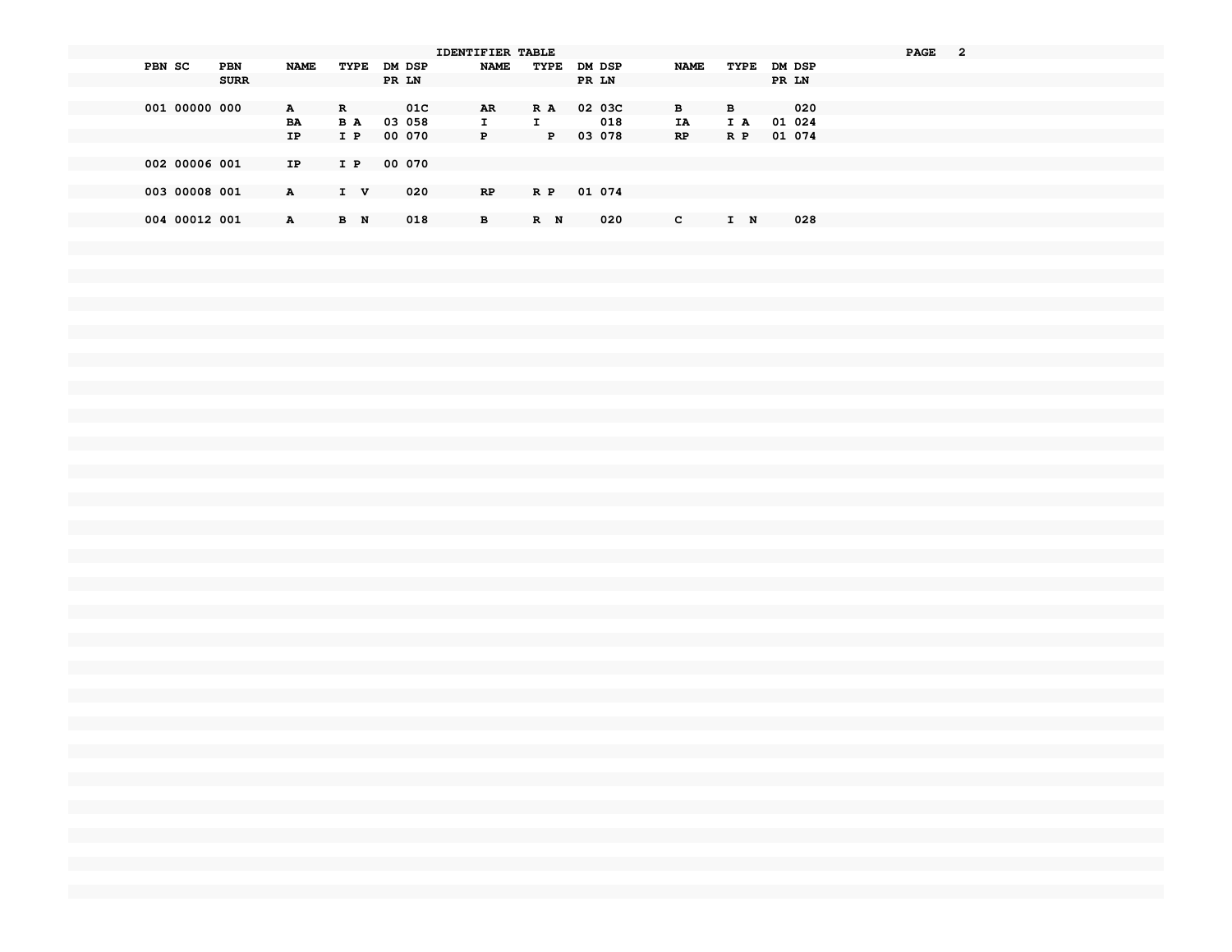|                      |              |             |        | <b>IDENTIFIER TABLE</b> |              |        |              |             |        | <b>PAGE</b><br>2 |
|----------------------|--------------|-------------|--------|-------------------------|--------------|--------|--------------|-------------|--------|------------------|
| PBN SC<br><b>PBN</b> | <b>NAME</b>  | TYPE DM DSP |        | <b>NAME</b>             | TYPE         | DM DSP | <b>NAME</b>  | TYPE DM DSP |        |                  |
| <b>SURR</b>          |              |             | PR LN  |                         |              | PR LN  |              |             | PR LN  |                  |
|                      |              |             |        |                         |              |        |              |             |        |                  |
| 001 00000 000        | $\mathbf{A}$ | R           | 01C    | AR.                     | R A          | 02 03C | B            | в           | 020    |                  |
|                      | BA           | B A         | 03 058 | I.                      | Ι.           | 018    | ΙA           | IA          | 01 024 |                  |
|                      | IP.          | I P         | 00 070 | P                       | $\mathbf{P}$ | 03 078 | RP           | R P         | 01 074 |                  |
|                      |              |             |        |                         |              |        |              |             |        |                  |
| 002 00006 001        | IP           | I P         | 00 070 |                         |              |        |              |             |        |                  |
|                      |              |             |        |                         |              |        |              |             |        |                  |
| 003 00008 001        | $\mathbf{A}$ | I V         | 020    | RP.                     | R P          | 01 074 |              |             |        |                  |
|                      |              |             |        |                         |              |        |              |             |        |                  |
| 004 00012 001        | $\mathbf{A}$ | B N         | 018    | в                       | R N          | 020    | $\mathbf{c}$ | I N         | 028    |                  |
|                      |              |             |        |                         |              |        |              |             |        |                  |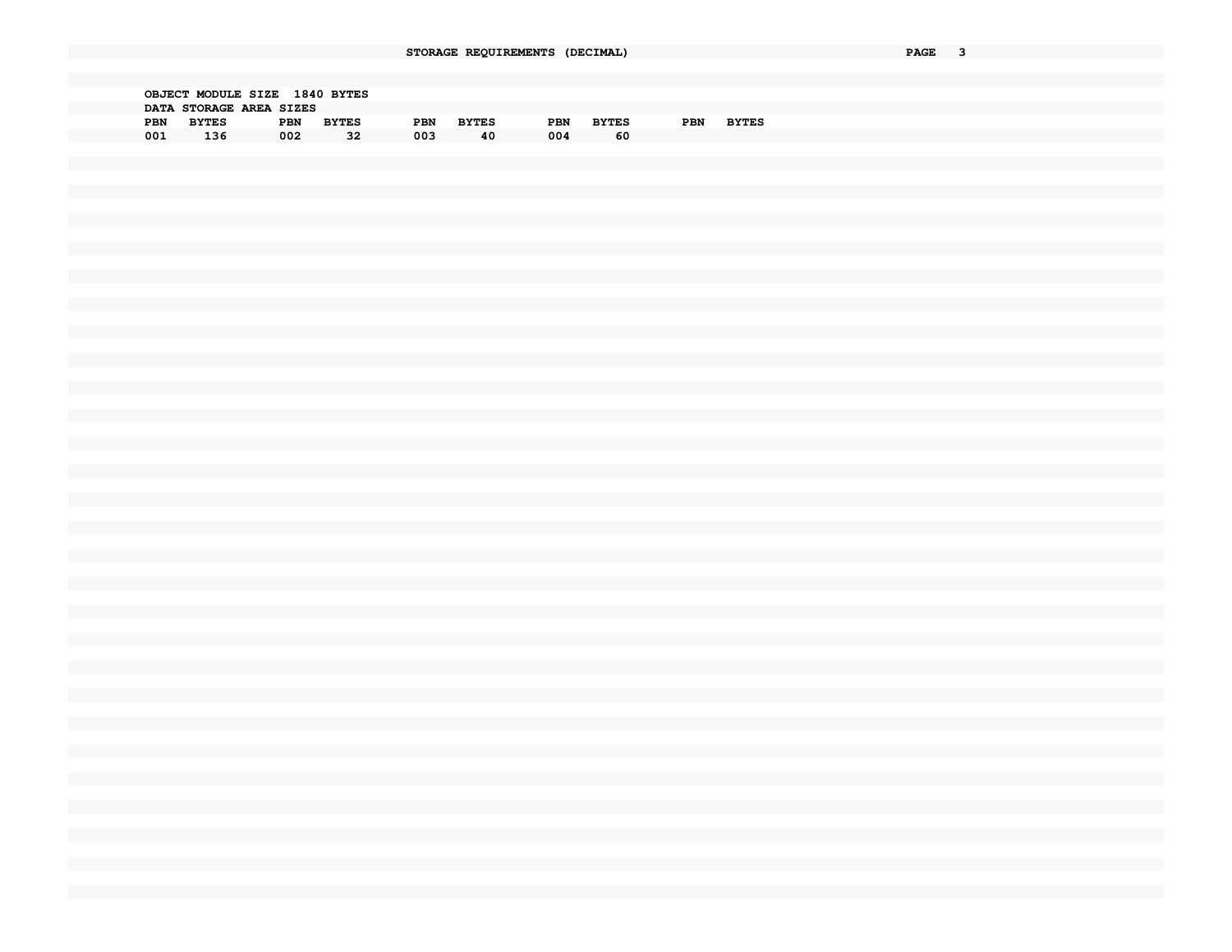|     | OBJECT MODULE SIZE |                         | 1840 BYTES   |     |              |     |              |     |              |
|-----|--------------------|-------------------------|--------------|-----|--------------|-----|--------------|-----|--------------|
|     |                    | DATA STORAGE AREA SIZES |              |     |              |     |              |     |              |
| PBN | <b>BYTES</b>       | <b>PBN</b>              | <b>BYTES</b> | PBN | <b>BYTES</b> | PBN | <b>BYTES</b> | PBN | <b>BYTES</b> |
| 001 | 136                | 002                     | 32           | 003 | 40           | 004 | 60           |     |              |
|     |                    |                         |              |     |              |     |              |     |              |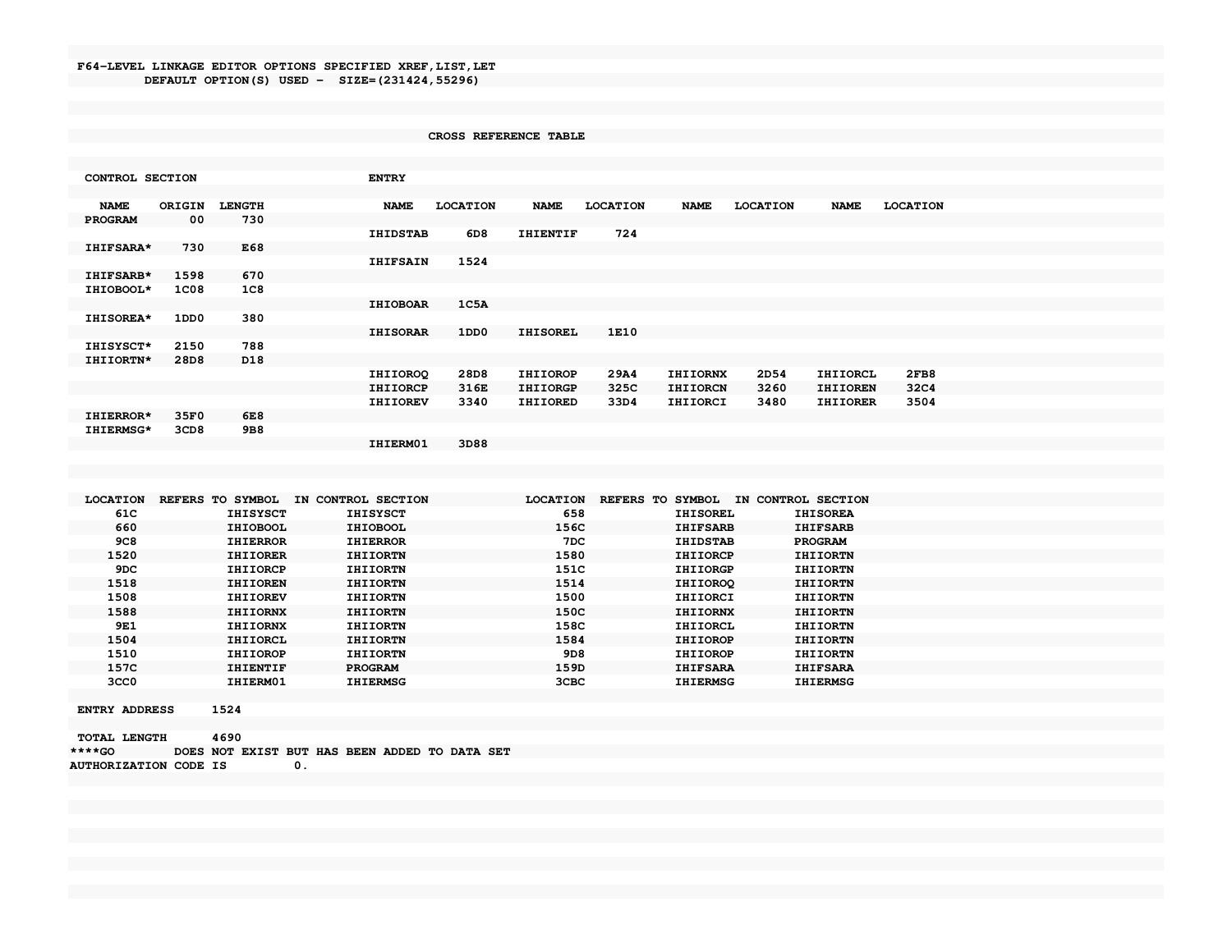## F64-LEVEL LINKAGE EDITOR OPTIONS SPECIFIED XREF, LIST, LET DEFAULT OPTION(S) USED - SIZE=(231424,55296)

## CROSS REFERENCE TABLE

| CONTROL SECTION  |             |               | <b>ENTRY</b>    |                 |                 |                 |                 |                 |                 |                 |  |  |
|------------------|-------------|---------------|-----------------|-----------------|-----------------|-----------------|-----------------|-----------------|-----------------|-----------------|--|--|
|                  |             |               |                 |                 |                 |                 |                 |                 |                 |                 |  |  |
| <b>NAME</b>      | ORIGIN      | <b>LENGTH</b> | <b>NAME</b>     | <b>LOCATION</b> | <b>NAME</b>     | <b>LOCATION</b> | <b>NAME</b>     | <b>LOCATION</b> | <b>NAME</b>     | <b>LOCATION</b> |  |  |
| <b>PROGRAM</b>   | 00          | 730           |                 |                 |                 |                 |                 |                 |                 |                 |  |  |
|                  |             |               | <b>IHIDSTAB</b> | 6D8             | <b>IHIENTIF</b> | 724             |                 |                 |                 |                 |  |  |
| <b>IHIFSARA*</b> | 730         | E68           |                 |                 |                 |                 |                 |                 |                 |                 |  |  |
|                  |             |               | <b>IHIFSAIN</b> | 1524            |                 |                 |                 |                 |                 |                 |  |  |
| <b>IHIFSARB*</b> | 1598        | 670           |                 |                 |                 |                 |                 |                 |                 |                 |  |  |
| IHIOBOOL*        | <b>1C08</b> | $_{1C8}$      |                 |                 |                 |                 |                 |                 |                 |                 |  |  |
|                  |             |               | <b>IHIOBOAR</b> | 1C5A            |                 |                 |                 |                 |                 |                 |  |  |
| IHISOREA*        | 1DD0        | 380           |                 |                 |                 |                 |                 |                 |                 |                 |  |  |
|                  |             |               | <b>IHISORAR</b> | 1DD0            | <b>IHISOREL</b> | 1E10            |                 |                 |                 |                 |  |  |
| IHISYSCT*        | 2150        | 788           |                 |                 |                 |                 |                 |                 |                 |                 |  |  |
| IHIIORTN*        | 28D8        | D18           |                 |                 |                 |                 |                 |                 |                 |                 |  |  |
|                  |             |               | <b>IHIIOROQ</b> | 28D8            | <b>IHIIOROP</b> | 29A4            | <b>IHIIORNX</b> | 2D54            | <b>IHIIORCL</b> | 2FB8            |  |  |
|                  |             |               | <b>IHIIORCP</b> | 316E            | <b>IHIIORGP</b> | 325C            | <b>IHIIORCN</b> | 3260            | <b>IHIIOREN</b> | 32C4            |  |  |
|                  |             |               | <b>IHIIOREV</b> | 3340            | <b>IHIIORED</b> | 33D4            | <b>IHIIORCI</b> | 3480            | <b>IHIIORER</b> | 3504            |  |  |
| IHIERROR*        | 35F0        | 6E8           |                 |                 |                 |                 |                 |                 |                 |                 |  |  |
| IHIERMSG*        | 3CD8        | 9B8           |                 |                 |                 |                 |                 |                 |                 |                 |  |  |
|                  |             |               | IHIERM01        | 3D88            |                 |                 |                 |                 |                 |                 |  |  |

| 658<br>61C<br><b>IHISYSCT</b><br><b>IHISYSCT</b><br><b>IHISOREL</b>              | <b>IHISOREA</b> |
|----------------------------------------------------------------------------------|-----------------|
| 660<br>156C<br><b>IHIOBOOL</b><br><b>IHIOBOOL</b><br><b>IHIFSARB</b>             | <b>IHIFSARB</b> |
| <b>9C8</b><br>7DC<br><b>IHIERROR</b><br><b>IHIDSTAB</b><br><b>IHIERROR</b>       | <b>PROGRAM</b>  |
| 1520<br>1580<br><b>IHIIORER</b><br><b>IHIIORTN</b><br><b>IHIIORCP</b>            | <b>IHIIORTN</b> |
| 151C<br>9DC<br><b>IHIIORCP</b><br><b>IHIIORTN</b><br><b>IHIIORGP</b>             | <b>IHIIORTN</b> |
| 1518<br>1514<br><b>IHIIOREN</b><br><b>IHIIORTN</b><br><b>IHIIOROO</b>            | <b>IHIIORTN</b> |
| 1508<br>1500<br><b>THITOREV</b><br><b>IHIIORTN</b><br>IHIIORCI                   | <b>IHIIORTN</b> |
| 1588<br>150C<br><b>IHIIORNX</b><br><b>IHIIORTN</b><br><b>IHIIORNX</b>            | IHIIORTN        |
| 158C<br>9E <sub>1</sub><br><b>IHIIORNX</b><br><b>IHIIORTN</b><br>IHIIORCL        | <b>THIIORTN</b> |
| 1584<br>1504<br><b>IHIIORCL</b><br><b>IHIIORTN</b><br><b>IHIIOROP</b>            | <b>THIIORTN</b> |
| 1510<br>9D <sub>8</sub><br><b>IHIIOROP</b><br><b>IHIIORTN</b><br><b>IHIIOROP</b> | <b>IHIIORTN</b> |
| 157C<br>159D<br><b>IHIENTIF</b><br><b>PROGRAM</b><br><b>IHIFSARA</b>             | <b>IHIFSARA</b> |
| 3CC <sub>0</sub><br>IHIERM01<br><b>IHIERMSG</b><br>3CBC<br><b>IHIERMSG</b>       | <b>IHIERMSG</b> |

**ENTRY ADDRESS** 1524

| <b>TOTAL LENGTH</b>          | 4690 |                                               |  |  |  |  |
|------------------------------|------|-----------------------------------------------|--|--|--|--|
| $***CO$                      |      | DOES NOT EXIST BUT HAS BEEN ADDED TO DATA SET |  |  |  |  |
| <b>AUTHORIZATION CODE IS</b> |      |                                               |  |  |  |  |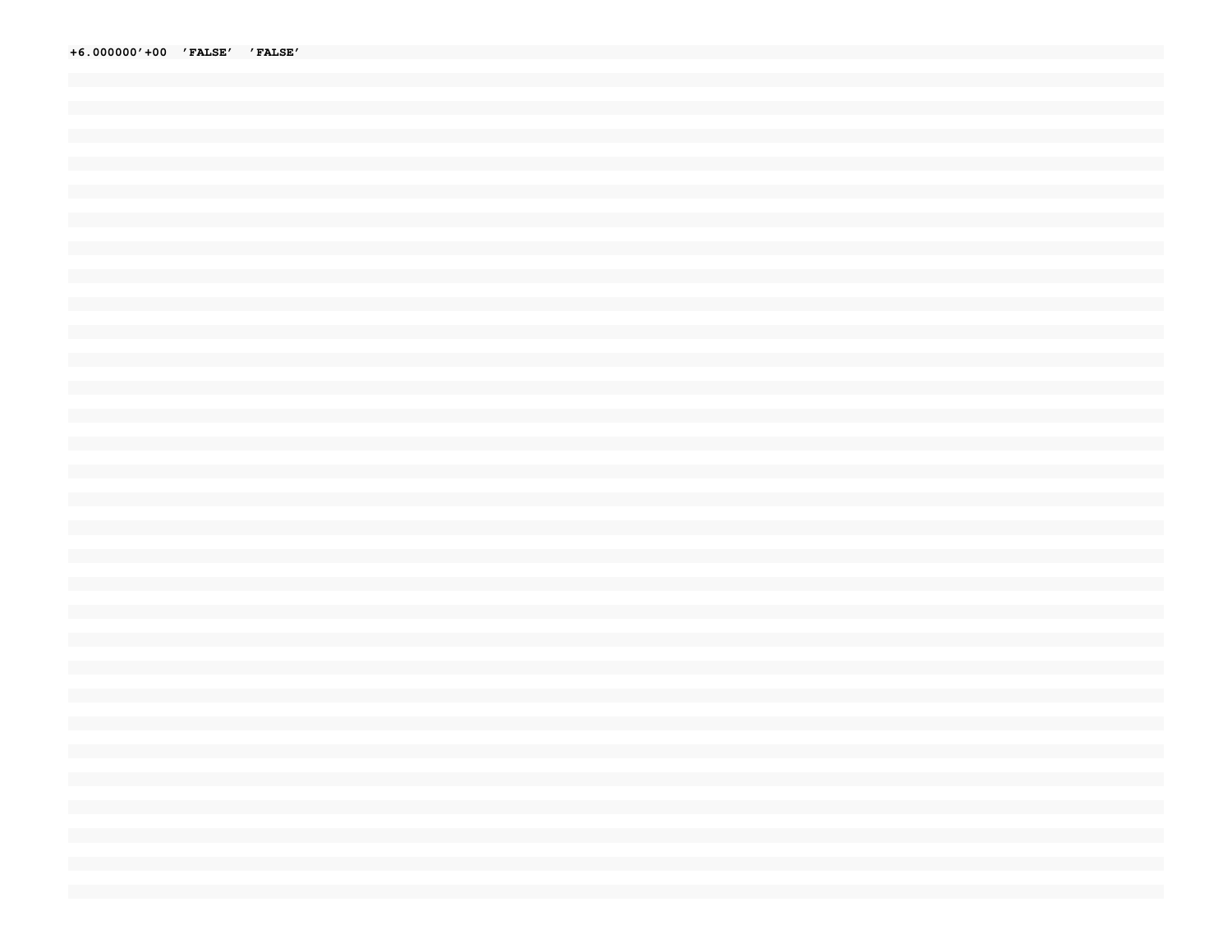+6.000000'+00 'FALSE' 'FALSE'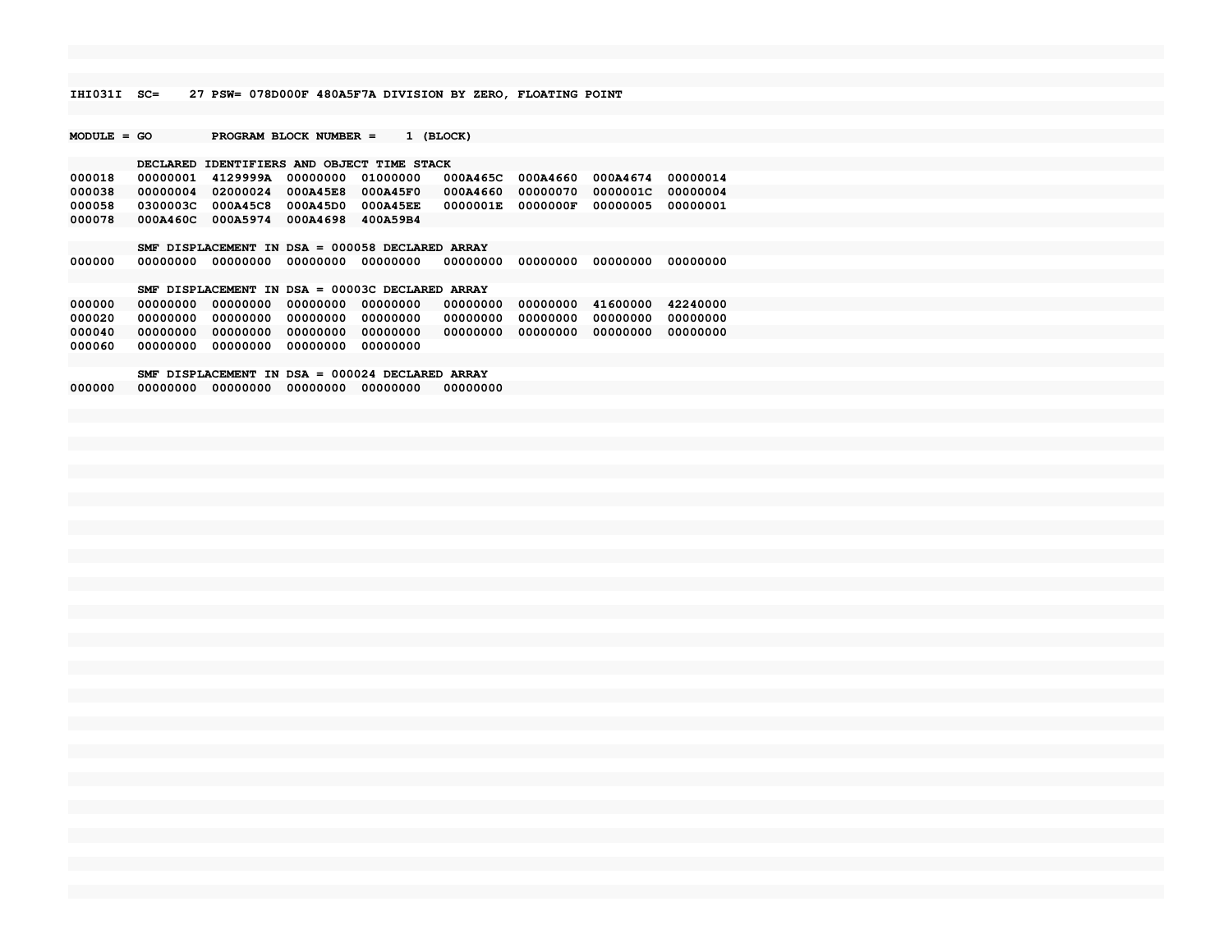**IHI031I SC= 27 PSW= 078D000F 480A5F7A DIVISION BY ZERO, FLOATING POINT**

**MODULE = GO PROGRAM BLOCK NUMBER = 1 (BLOCK)**

**000078 000A460C 000A5974 000A4698 400A59B4**

## **DECLARED IDENTIFIERS AND OBJECT TIME STACK 000018 00000001 4129999A 00000000 01000000 000A465C 000A4660 000A4674 00000014 000038 00000004 02000024 000A45E8 000A45F0 000A4660 00000070 0000001C 00000004000058 0300003C 000A45C8 000A45D0 000A45EE 0000001E 0000000F 00000005 00000001**

 **SMF DISPLACEMENT IN DSA = 000058 DECLARED ARRAY000000 00000000 00000000 00000000 00000000 00000000 00000000 00000000 00000000**

## **SMF DISPLACEMENT IN DSA = 00003C DECLARED ARRAY**

 **000000 00000000 00000000 00000000 00000000 00000000 00000000 41600000 42240000 000020 00000000 00000000 00000000 00000000 00000000 00000000 00000000 00000000 000040 00000000 00000000 00000000 00000000 00000000 00000000 00000000 00000000000060 00000000 00000000 00000000 00000000**

 **SMF DISPLACEMENT IN DSA = 000024 DECLARED ARRAY000000 00000000 00000000 00000000 00000000 00000000**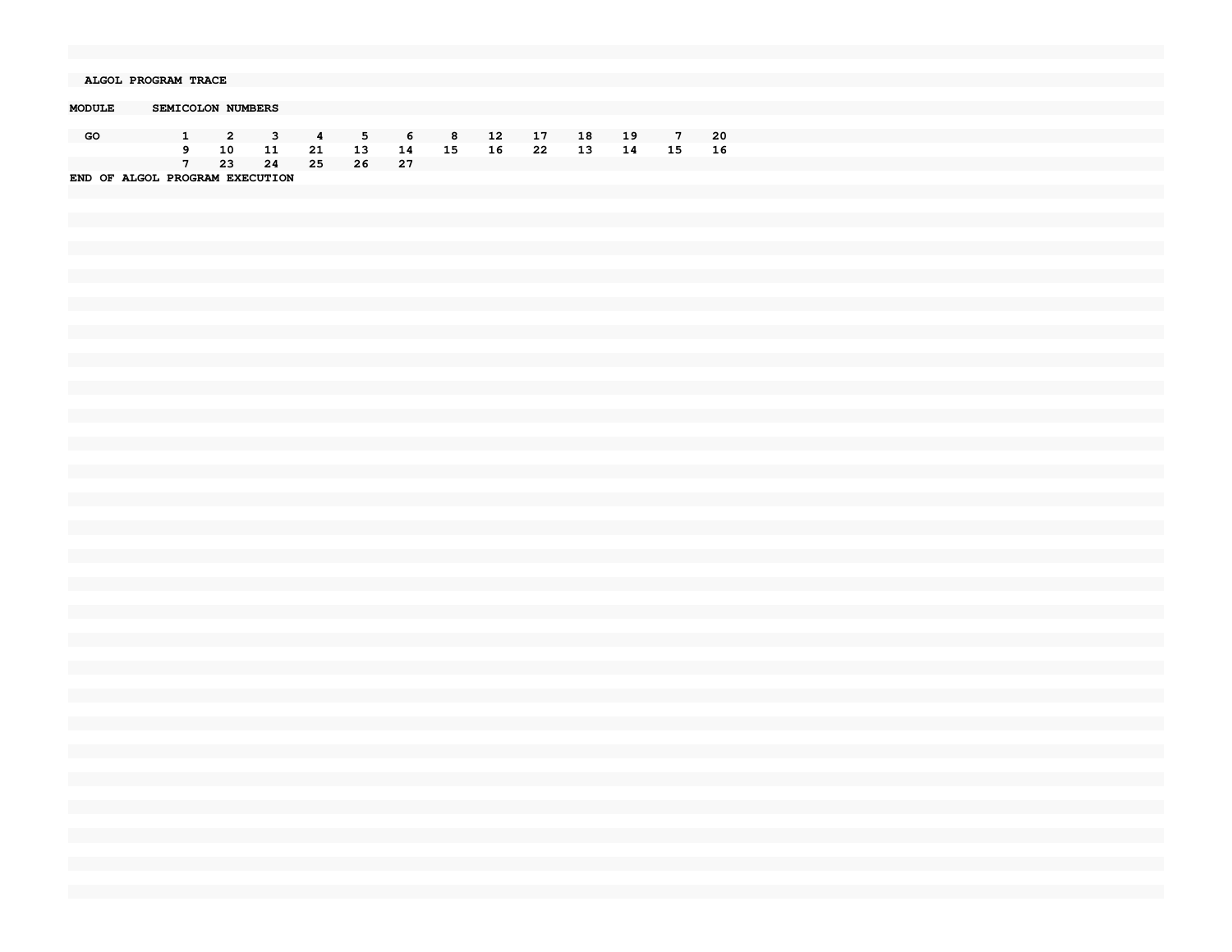| ALGOL PROGRAM TRACE |                                |     |     |                |     |     |                |     |     |    |    |             |     |  |
|---------------------|--------------------------------|-----|-----|----------------|-----|-----|----------------|-----|-----|----|----|-------------|-----|--|
|                     |                                |     |     |                |     |     |                |     |     |    |    |             |     |  |
|                     |                                |     |     |                |     |     |                |     |     |    |    |             |     |  |
| <b>MODULE</b>       | SEMICOLON NUMBERS              |     |     |                |     |     |                |     |     |    |    |             |     |  |
|                     |                                |     |     |                |     |     |                |     |     |    |    |             |     |  |
|                     |                                |     |     |                |     |     |                |     |     |    |    |             |     |  |
| GO                  |                                | -2  | 3   | $\overline{4}$ | 5   | -6  | 8 <sup>2</sup> | -12 | -17 | 18 | 19 | $7^{\circ}$ | -20 |  |
|                     | 9                              | 10  | -11 | 21             | 13  | 14  | 15             | 16  | -22 | 13 | 14 | 15          | -16 |  |
|                     |                                |     |     |                |     |     |                |     |     |    |    |             |     |  |
|                     |                                | -23 | -24 | 25             | -26 | -27 |                |     |     |    |    |             |     |  |
|                     | END OF ALGOL PROGRAM EXECUTION |     |     |                |     |     |                |     |     |    |    |             |     |  |
|                     |                                |     |     |                |     |     |                |     |     |    |    |             |     |  |
|                     |                                |     |     |                |     |     |                |     |     |    |    |             |     |  |